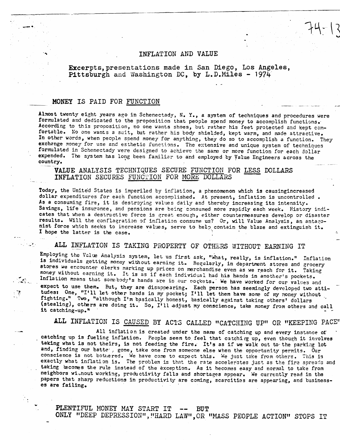## INFLATION AND VALUE

 $74 - 13$ 

Excerpts, presentations made in San Diego, Los Angeles, Pittsburgh and Washington DC, by L.D.Miles - 1974

## MONEY IS PAID FOR FUNCTION

 $\mathcal{L}_{\mathcal{M}}$ 

Almost twenty eight years ago in Schenectady, N. Y., a system of techniques and procedures were formulated and dedicated to the proposition that people spend money to accomplish functions. According to this proposition, no one wants shoes, but rather his feet protected and kept comfortable. No one wants a suit, but rather his body shielded, kept warm, and made attractive. In other words, when people spend money for anything, they do so to accomplish a function. They exchange money for use and esthetic functions. The extensive and unique system of techniques formulated in Schenectady were designed to achieve the same or more function for each dollar expended. The system has long been familiar to and employed by Value Engineers across the country.

## VALUE ANALYSIS TECHNIQUES SECURE FUNCTION FOR LESS DOLLARS INFLATION SECURES FUNCTION FOR MORE DOLLARS

Today, the United States is imperiled by inflation, a phenomenon which is causingincreased dollar expenditures for each function accomplished. At present, inflation is uncontrolled. As a consuming fire, it is destroying values daily and thereby increasing its intensity. Savings, life insurance, and pensions are being consumed more rapidly each week. History indicates that when a destructive force is great enough, either countermeasures develop or disaster results. Will the conflagration of inflation consume us? Or, will Value Analysis, an antagonist force which seeks to increase values, serve to help contain the blaze and extinguish it. I hope the latter is the case.

ALL INFLATION IS TAKING PROPERTY OF OTHERS WITHOUT EARNING IT

Employing the Value Analysis system, let us first ask, "What, really, is inflation." Inflation is individuals getting money without earning it. Regularly, in department stores and grocery stores we encounter clerks marking up prices on merchandise even as we reach for it. Taking money without earning it. It is as if each individual had his hands in another's pockets. Inflation means that some body's hands are in our pockets. We have worked for our values and expect to use them. But, they are disappearing. Each person has seemingly developed two atti-<br>tudes: One, "I'll let other hands in my pocket; I'll let them have some of my money without fighting." Two, "although I'm basically honest, basically against taking others' dollars (stealing), others are doing it. So, I'll adjust my conscience, take money from others and call it catching-up."

ALL INFLATION IS CAUSED BY ACTS CALLED "CATCHING UP" OR "KEEPING PACE"

All inflation is created under the name of catching up and every instance of catching up is fueling inflation. People seem to feel that catching up, even though it involves taking what is not theirs, is not feeding the fire. It's as if we walk out to the parking lot and, finding our batte , gone, take one from someone else when the opportunity permits. Our conscience is not bothered. We have come to expect this. We just take from others. This is exactly what inflation is. The problem is that the rate accelerates just as the fire spreads and taking tecomes the rule instead of the exception. As it becomes easy and normal to take from neighbors without working, productivity falls and shortages appear. We currently read in the papers that sharp reductions in productivity are coming, scarcities are appearing, and businesses are failing.

PLENTIFUL MONEY MAY START IT BUT  $-\,-$ ONLY "DEEP DEPRESSION", "HARD LAW", OR "MASS PEOPLE ACTION" STOPS IT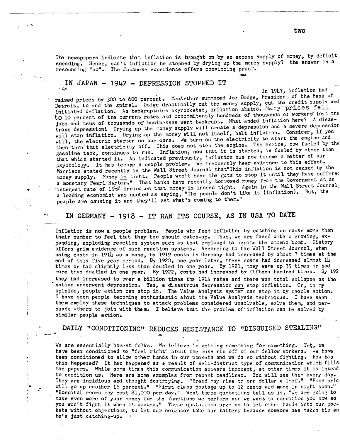The newspapers indicate that inflation is brought on by an excess supply of money, by deficit spending. Hence, can't inflation be stopped by drying up the money supply? the answer is a resounding "no". The Japanese experience offers convincing proof.

#### IN JAPAN - 1947 - DEPRESSION STOPPED IT 人名西

 $\bullet\star$ 

In 1947, inflation had raised prices by 300 to 600 percent. MacArthur summoned Joe Dodge, President of the Bank of Detroit, to end the spiral. Dodge drastically cut the money supply, cut the credit supply and initiated deflation. As bankruptcies skyrocketed, inflation abated. Many prices fell to 10 percent of the current rates and concomitantly hundreds of thousands of workers lost the jobs and tens of thousands of businesses went bankrupt. What ended inflation here? A disastrous depression! Drying up the money supply will create a depression and a severe depression will stop inflation. Drying up the money will not itself, halt inflation. Consider, if you will, the electric starter on our cars. We turn on the electricity to start the engine and then turn that electricity off. This does not stop the engine. The engine, now fueled by the gasoline tank, continues to run. Inflation, now that it is started, is fueled by other than that which started it. As indicated previously, inflation has now become a matter of our psychology. It has become a people problem. We frequently hear evidence to this effect. Morrison stated recently in the Wall Street Journal that"This inflation is not caused by the money supply. Money is tight. People won't have the guts to stop it until they have suffered a monetary Pearl Harbor." That banks have recently borrowed money from the Government at an interest rate of 15% indicates that money is indeed tight. Again in the Wall Street Journal.<br>a leading economist was quoted as saying, "The people don't like it (inflation). But, the people are causing it and they'll get what's coming to them."

# IN GERMANY - 1918 - IT RAN ITS COURSE, AS IN USA TO DATE

Inflation is now a people problem. People who feed inflation by catching up cause more than their number to feel that they too should catch-up. Thus, we are faced with a growing, expanding, exploding reaction system such as that employed to ignite the atomic bomb. History offers grim evidence of such reaction systems. According to the Wall Street Journal, when using costs in 1914 as a base, by 1919 costs in Germany had increased by about 7 times at the end of this five year period. By 1920, one year later, these costs had increased almost  $14$ times or had slightly less than doubled in one year. By 1921, they were up 35 times or had more than doubled in one year. By 1922, costs had increased by fifteen hundred times. By 192 they had increased to over a billion times the 1914 rates and there was total collapse as the  $\tilde{\cdot}$  nation underwent depression. Yes, a disastrous depression can stop inflation. Or, in my opinion, people action can stop it. The Value Analysis system can stop it by people action. I have seen people becoming enthusiastic about the Value Analysis techniques. I have seen them employ these techniques to attack problems considered unsolvable, solve them, and persuade others to join with them. I believe that the problem of inflation can be solved by similar people action.

## DAILY "CONDITIONING" REDUCES RESISTANCE TO "DISGUISED STEALING"

We are essentially honest folks. We believe in getting something for something. Yet, we have been conditioned to "feel right" about the mass rip off of our fellow workers. We have been conditioned to allow other hands in our pockets and we do so without fighting. How has this happened? It has happened as a result of self-distruct type of communication which fills the papers. While some times this communication appears innocent, at other times it is intend to condition us. Here are some examples from recent headlines. You will see them every day. They are insidious and thought destroying. "Eread may rise to one dollar a loaf." "Food pric will go up another 16 percent." "First class postage up to 12 cents and more in sight soon." "Hospital rooms may cost \$1,000 per day." What these quotations tell us is, "We are going to take even more of your money for the functions we perform and we want to condition you now so you won't fight it when it occurs." These quotations urge us to let other hands into our pockets without objections, to let our neighbor take our battery because someone has taken his an he's just catching-up.